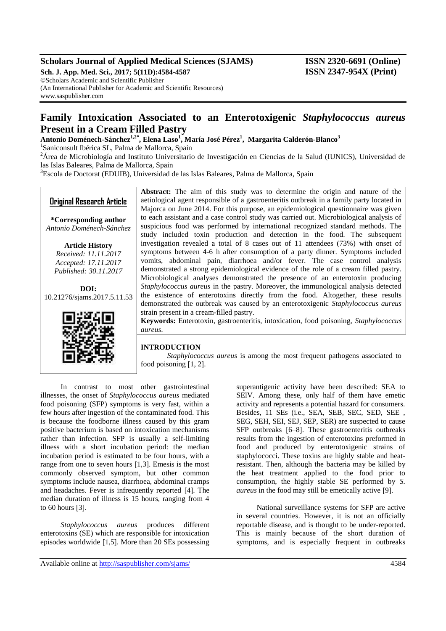## **Scholars Journal of Applied Medical Sciences (SJAMS) ISSN 2320-6691 (Online)**

**Sch. J. App. Med. Sci., 2017; 5(11D):4584-4587 ISSN 2347-954X (Print)** ©Scholars Academic and Scientific Publisher (An International Publisher for Academic and Scientific Resources) [www.saspublisher.com](http://www.saspublisher.com/)

# **Family Intoxication Associated to an Enterotoxigenic** *Staphylococcus aureus* **Present in a Cream Filled Pastry**

**Antonio Doménech-Sánchez1,2\* , Elena Laso<sup>1</sup> , María José Pérez<sup>1</sup> , Margarita Calderón-Blanco<sup>3</sup>**

<sup>1</sup>Saniconsult Ibérica SL, Palma de Mallorca, Spain

<sup>2</sup>Área de Microbiología and Instituto Universitario de Investigación en Ciencias de la Salud (IUNICS), Universidad de las Islas Baleares, Palma de Mallorca, Spain

<sup>3</sup>Escola de Doctorat (EDUIB), Universidad de las Islas Baleares, Palma de Mallorca, Spain

## **Original Research Article**

**\*Corresponding author** *Antonio Doménech-Sánchez*

> **Article History** *Received: 11.11.2017 Accepted: 17.11.2017 Published: 30.11.2017*

**DOI:** 10.21276/sjams.2017.5.11.53



**Abstract:** The aim of this study was to determine the origin and nature of the aetiological agent responsible of a gastroenteritis outbreak in a family party located in Majorca on June 2014. For this purpose, an epidemiological questionnaire was given to each assistant and a case control study was carried out. Microbiological analysis of suspicious food was performed by international recognized standard methods. The study included toxin production and detection in the food. The subsequent investigation revealed a total of 8 cases out of 11 attendees (73%) with onset of symptoms between 4-6 h after consumption of a party dinner. Symptoms included vomits, abdominal pain, diarrhoea and/or fever. The case control analysis demonstrated a strong epidemiological evidence of the role of a cream filled pastry. Microbiological analyses demonstrated the presence of an enterotoxin producing *Staphylococcus aureus* in the pastry. Moreover, the immunological analysis detected the existence of enterotoxins directly from the food. Altogether, these results demonstrated the outbreak was caused by an enterotoxigenic *Staphylococcus aureus* strain present in a cream-filled pastry.

**Keywords:** Enterotoxin, gastroenteritis, intoxication, food poisoning, *Staphylococcus aureus*.

#### **INTRODUCTION**

*Staphylococcus aureus* is among the most frequent pathogens associated to food poisoning [1, 2].

In contrast to most other gastrointestinal illnesses, the onset of *Staphylococcus aureus* mediated food poisoning (SFP) symptoms is very fast, within a few hours after ingestion of the contaminated food. This is because the foodborne illness caused by this gram positive bacterium is based on intoxication mechanisms rather than infection. SFP is usually a self-limiting illness with a short incubation period: the median incubation period is estimated to be four hours, with a range from one to seven hours [1,3]. Emesis is the most commonly observed symptom, but other common symptoms include nausea, diarrhoea, abdominal cramps and headaches. Fever is infrequently reported [4]. The median duration of illness is 15 hours, ranging from 4 to 60 hours [3].

*Staphylococcus aureus* produces different enterotoxins (SE) which are responsible for intoxication episodes worldwide [1,5]. More than 20 SEs possessing superantigenic activity have been described: SEA to SElV. Among these, only half of them have emetic activity and represents a potential hazard for consumers. Besides, 11 SEs (i.e., SEA, SEB, SEC, SED, SEE , SEG, SEH, SEI, SEJ, SEP, SER) are suspected to cause SFP outbreaks [6–8]. These gastroenteritis outbreaks results from the ingestion of enterotoxins preformed in food and produced by enterotoxigenic strains of staphylococci. These toxins are highly stable and heatresistant. Then, although the bacteria may be killed by the heat treatment applied to the food prior to consumption, the highly stable SE performed by *S. aureus* in the food may still be emetically active [9].

National surveillance systems for SFP are active in several countries. However, it is not an officially reportable disease, and is thought to be under-reported. This is mainly because of the short duration of symptoms, and is especially frequent in outbreaks

Available online at<http://saspublisher.com/sjams/> 4584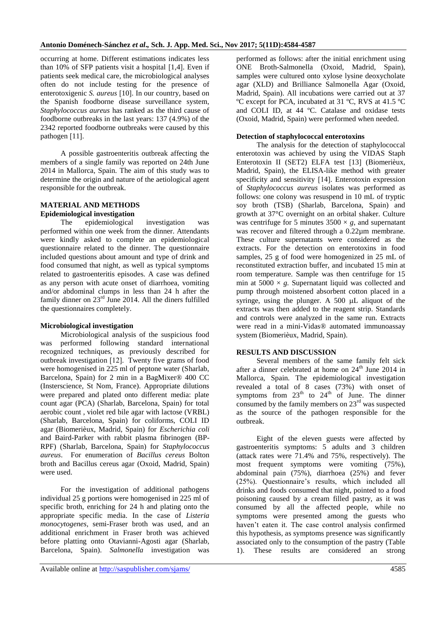occurring at home. Different estimations indicates less than 10% of SFP patients visit a hospital [1,4]. Even if patients seek medical care, the microbiological analyses often do not include testing for the presence of enterotoxigenic *S. aureus* [10]. In our country, based on the Spanish foodborne disease surveillance system, *Staphylococcus aureus* has ranked as the third cause of foodborne outbreaks in the last years: 137 (4.9%) of the 2342 reported foodborne outbreaks were caused by this pathogen [11].

A possible gastroenteritis outbreak affecting the members of a single family was reported on 24th June 2014 in Mallorca, Spain. The aim of this study was to determine the origin and nature of the aetiological agent responsible for the outbreak.

## **MATERIAL AND METHODS Epidemiological investigation**

The epidemiological investigation was performed within one week from the dinner. Attendants were kindly asked to complete an epidemiological questionnaire related to the dinner. The questionnaire included questions about amount and type of drink and food consumed that night, as well as typical symptoms related to gastroenteritis episodes. A case was defined as any person with acute onset of diarrhoea, vomiting and/or abdominal clumps in less than 24 h after the family dinner on 23rd June 2014. All the diners fulfilled the questionnaires completely.

## **Microbiological investigation**

Microbiological analysis of the suspicious food was performed following standard international recognized techniques, as previously described for outbreak investigation [12]. Twenty five grams of food were homogenised in 225 ml of peptone water (Sharlab, Barcelona, Spain) for 2 min in a BagMixer® 400 CC (Insterscience, St Nom, France). Appropriate dilutions were prepared and plated onto different media: plate count agar (PCA) (Sharlab, Barcelona, Spain) for total aerobic count , violet red bile agar with lactose (VRBL) (Sharlab, Barcelona, Spain) for coliforms, COLI ID agar (Biomerièux, Madrid, Spain) for *Escherichia coli* and Baird-Parker with rabbit plasma fibrinogen (BP-RPF) (Sharlab, Barcelona, Spain) for *Staphylococcus aureus*. For enumeration of *Bacillus cereus* Bolton broth and Bacillus cereus agar (Oxoid, Madrid, Spain) were used.

For the investigation of additional pathogens individual 25 g portions were homogenised in 225 ml of specific broth, enriching for 24 h and plating onto the appropriate specific media. In the case of *Listeria monocytogenes,* semi-Fraser broth was used, and an additional enrichment in Fraser broth was achieved before platting onto Otavianni-Agosti agar (Sharlab, Barcelona, Spain). *Salmonella* investigation was

performed as follows: after the initial enrichment using ONE Broth-Salmonella (Oxoid, Madrid, Spain), samples were cultured onto xylose lysine deoxycholate agar (XLD) and Brilliance Salmonella Agar (Oxoid, Madrid, Spain). All incubations were carried out at 37 ºC except for PCA, incubated at 31 ºC, RVS at 41.5 ºC and COLI ID, at 44 ºC. Catalase and oxidase tests (Oxoid, Madrid, Spain) were performed when needed.

## **Detection of staphylococcal enterotoxins**

The analysis for the detection of staphylococcal enterotoxin was achieved by using the VIDAS Staph Enterotoxin II (SET2) ELFA test [13] (Biomerièux, Madrid, Spain), the ELISA-like method with greater specificity and sensitivity [14]. Enterotoxin expression of *Staphylococcus aureus* isolates was performed as follows: one colony was resuspend in 10 mL of tryptic soy broth (TSB) (Sharlab, Barcelona, Spain) and growth at 37°C overnight on an orbital shaker. Culture was centrifuge for 5 minutes  $3500 \times g$ , and supernatant was recover and filtered through a 0.22µm membrane. These culture supernatants were considered as the extracts. For the detection on enterotoxins in food samples, 25 g of food were homogenized in 25 mL of reconstituted extraction buffer, and incubated 15 min at room temperature. Sample was then centrifuge for 15 min at  $5000 \times g$ . Supernatant liquid was collected and pump through moistened absorbent cotton placed in a syringe, using the plunger. A  $500$   $\mu$  aliquot of the extracts was then added to the reagent strip. Standards and controls were analyzed in the same run. Extracts were read in a mini-Vidas® automated immunoassay system (Biomerièux, Madrid, Spain).

## **RESULTS AND DISCUSSION**

Several members of the same family felt sick after a dinner celebrated at home on  $24<sup>th</sup>$  June 2014 in Mallorca, Spain. The epidemiological investigation revealed a total of 8 cases (73%) with onset of symptoms from  $23<sup>th</sup>$  to  $24<sup>th</sup>$  of June. The dinner consumed by the family members on  $23<sup>rd</sup>$  was suspected as the source of the pathogen responsible for the outbreak.

Eight of the eleven guests were affected by gastroenteritis symptoms: 5 adults and 3 children (attack rates were 71.4% and 75%, respectively). The most frequent symptoms were vomiting (75%), abdominal pain (75%), diarrhoea (25%) and fever (25%). Questionnaire's results, which included all drinks and foods consumed that night, pointed to a food poisoning caused by a cream filled pastry, as it was consumed by all the affected people, while no symptoms were presented among the guests who haven't eaten it. The case control analysis confirmed this hypothesis, as symptoms presence was significantly associated only to the consumption of the pastry (Table 1). These results are considered an strong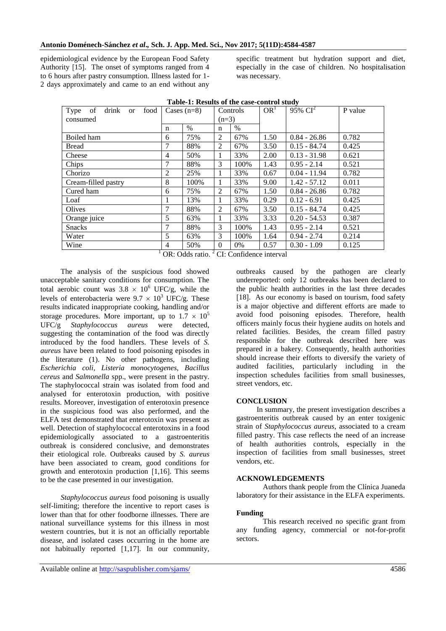epidemiological evidence by the European Food Safety Authority [15]. The onset of symptoms ranged from 4 to 6 hours after pastry consumption. Illness lasted for 1- 2 days approximately and came to an end without any specific treatment but hydration support and diet, especially in the case of children. No hospitalisation was necessary.

| food<br>Type of drink or | Cases $(n=8)$                                                   |      | Controls<br>$(n=3)$ |       | OR <sup>1</sup> | $95\% \text{ CI}^2$ | P value |
|--------------------------|-----------------------------------------------------------------|------|---------------------|-------|-----------------|---------------------|---------|
| consumed                 |                                                                 |      |                     |       |                 |                     |         |
|                          | n                                                               | $\%$ | n                   | $\%$  |                 |                     |         |
| Boiled ham               | 6                                                               | 75%  | 2                   | 67%   | 1.50            | $0.84 - 26.86$      | 0.782   |
| <b>Bread</b>             | 7                                                               | 88%  | 2                   | 67%   | 3.50            | $0.15 - 84.74$      | 0.425   |
| Cheese                   | 4                                                               | 50%  | 1                   | 33%   | 2.00            | $0.13 - 31.98$      | 0.621   |
| Chips                    |                                                                 | 88%  | 3                   | 100%  | 1.43            | $0.95 - 2.14$       | 0.521   |
| Chorizo                  | 2                                                               | 25%  | 1                   | 33%   | 0.67            | $0.04 - 11.94$      | 0.782   |
| Cream-filled pastry      | 8                                                               | 100% | 1                   | 33%   | 9.00            | $1.42 - 57.12$      | 0.011   |
| Cured ham                | 6                                                               | 75%  | 2                   | 67%   | 1.50            | $0.84 - 26.86$      | 0.782   |
| Loaf                     |                                                                 | 13%  | 1                   | 33%   | 0.29            | $0.12 - 6.91$       | 0.425   |
| Olives                   | 7                                                               | 88%  | 2                   | 67%   | 3.50            | $0.15 - 84.74$      | 0.425   |
| Orange juice             | 5                                                               | 63%  | 1                   | 33%   | 3.33            | $0.20 - 54.53$      | 0.387   |
| <b>Snacks</b>            | 7                                                               | 88%  | 3                   | 100%  | 1.43            | $0.95 - 2.14$       | 0.521   |
| Water                    | 5                                                               | 63%  | 3                   | 100%  | 1.64            | $0.94 - 2.74$       | 0.214   |
| Wine                     | 4                                                               | 50%  | $\Omega$            | $0\%$ | 0.57            | $0.30 - 1.09$       | 0.125   |
|                          | $\sim$ $\sim$<br>$\cap$ $\cap$ $\cap$ $\cap$ $\cap$<br>$\sim$ 1 |      |                     |       |                 |                     |         |

**Table-1: Results of the case-control study**

OR: Odds ratio. <sup>2</sup> CI: Confidence interval

The analysis of the suspicious food showed unacceptable sanitary conditions for consumption. The total aerobic count was  $3.8 \times 10^6$  UFC/g, while the levels of enterobacteria were  $9.7 \times 10^3$  UFC/g. These results indicated inappropriate cooking, handling and/or storage procedures. More important, up to  $1.7 \times 10^5$ UFC/g *Staphylococcus aureus* were detected, suggesting the contamination of the food was directly introduced by the food handlers. These levels of *S. aureus* have been related to food poisoning episodes in the literature (1). No other pathogens, including *Escherichia coli, Listeria monocytogenes, Bacillus cereus* and *Salmonella* spp., were present in the pastry. The staphylococcal strain was isolated from food and analysed for enterotoxin production, with positive results. Moreover, investigation of enterotoxin presence in the suspicious food was also performed, and the ELFA test demonstrated that enterotoxin was present as well. Detection of staphylococcal enterotoxins in a food epidemiologically associated to a gastroenteritis outbreak is considered conclusive, and demonstrates their etiological role. Outbreaks caused by *S. aureus* have been associated to cream, good conditions for growth and enterotoxin production [1,16]. This seems to be the case presented in our investigation.

*Staphylococcus aureus* food poisoning is usually self-limiting; therefore the incentive to report cases is lower than that for other foodborne illnesses. There are national surveillance systems for this illness in most western countries, but it is not an officially reportable disease, and isolated cases occurring in the home are not habitually reported [1,17]. In our community, outbreaks caused by the pathogen are clearly underreported: only 12 outbreaks has been declared to the public health authorities in the last three decades [18]. As our economy is based on tourism, food safety is a major objective and different efforts are made to avoid food poisoning episodes. Therefore, health officers mainly focus their hygiene audits on hotels and related facilities. Besides, the cream filled pastry responsible for the outbreak described here was prepared in a bakery. Consequently, health authorities should increase their efforts to diversify the variety of audited facilities, particularly including in the inspection schedules facilities from small businesses, street vendors, etc.

#### **CONCLUSION**

In summary, the present investigation describes a gastroenteritis outbreak caused by an enter toxigenic strain of *Staphylococcus aureus*, associated to a cream filled pastry. This case reflects the need of an increase of health authorities controls, especially in the inspection of facilities from small businesses, street vendors, etc.

#### **ACKNOWLEDGEMENTS**

Authors thank people from the Clínica Juaneda laboratory for their assistance in the ELFA experiments.

#### **Funding**

This research received no specific grant from any funding agency, commercial or not-for-profit sectors.